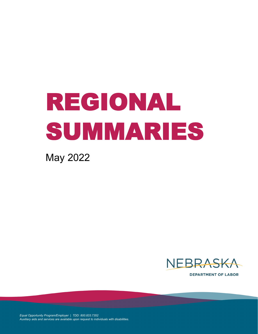# REGIONAL SUMMARIES

May 2022



**DEPARTMENT OF LABOR** 

*Equal Opportunity Program/Employer | TDD: 800.833.7352 Auxiliary aids and services are available upon request to individuals with disabilities.*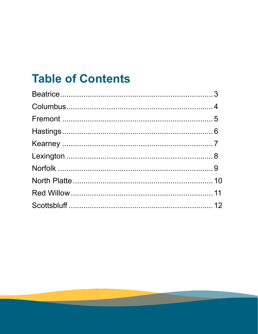## **Table of Contents**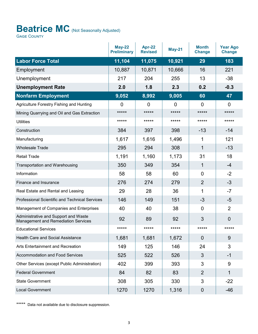## <span id="page-2-0"></span>**Beatrice MC** (Not Seasonally Adjusted)

**GAGE COUNTY** 

|                                                                                    | <b>May-22</b><br><b>Preliminary</b> | Apr-22<br><b>Revised</b> | <b>May-21</b>  | <b>Month</b><br><b>Change</b> | <b>Year Ago</b><br><b>Change</b> |
|------------------------------------------------------------------------------------|-------------------------------------|--------------------------|----------------|-------------------------------|----------------------------------|
| <b>Labor Force Total</b>                                                           | 11,104                              | 11,075                   | 10,921         | 29                            | 183                              |
| Employment                                                                         | 10,887                              | 10,871                   | 10,666         | 16                            | 221                              |
| Unemployment                                                                       | 217                                 | 204                      | 255            | 13                            | $-38$                            |
| <b>Unemployment Rate</b>                                                           | 2.0                                 | 1.8                      | 2.3            | 0.2                           | $-0.3$                           |
| <b>Nonfarm Employment</b>                                                          | 9,052                               | 8,992                    | 9,005          | 60                            | 47                               |
| Agriculture Forestry Fishing and Hunting                                           | $\overline{0}$                      | 0                        | $\overline{0}$ | $\overline{0}$                | $\overline{0}$                   |
| Mining Quarrying and Oil and Gas Extraction                                        | *****                               | *****                    | *****          | *****                         | *****                            |
| <b>Utilities</b>                                                                   | *****                               | *****                    | *****          | *****                         | *****                            |
| Construction                                                                       | 384                                 | 397                      | 398            | $-13$                         | $-14$                            |
| Manufacturing                                                                      | 1,617                               | 1,616                    | 1,496          | 1                             | 121                              |
| <b>Wholesale Trade</b>                                                             | 295                                 | 294                      | 308            | $\mathbf{1}$                  | $-13$                            |
| <b>Retail Trade</b>                                                                | 1,191                               | 1,160                    | 1,173          | 31                            | 18                               |
| Transportation and Warehousing                                                     | 350                                 | 349                      | 354            | $\mathbf{1}$                  | -4                               |
| Information                                                                        | 58                                  | 58                       | 60             | $\overline{0}$                | $-2$                             |
| Finance and Insurance                                                              | 276                                 | 274                      | 279            | $\overline{2}$                | -3                               |
| Real Estate and Rental and Leasing                                                 | 29                                  | 28                       | 36             | 1                             | $-7$                             |
| <b>Professional Scientific and Technical Services</b>                              | 146                                 | 149                      | 151            | $-3$                          | $-5$                             |
| Management of Companies and Enterprises                                            | 40                                  | 40                       | 38             | $\overline{0}$                | $\overline{2}$                   |
| Administrative and Support and Waste<br><b>Management and Remediation Services</b> | 92                                  | 89                       | 92             | 3                             | $\overline{0}$                   |
| <b>Educational Services</b>                                                        | *****                               | *****                    | *****          | *****                         | *****                            |
| <b>Health Care and Social Assistance</b>                                           | 1,681                               | 1,681                    | 1,672          | $\overline{0}$                | 9                                |
| Arts Entertainment and Recreation                                                  | 149                                 | 125                      | 146            | 24                            | 3                                |
| Accommodation and Food Services                                                    | 525                                 | 522                      | 526            | 3                             | -1                               |
| Other Services (except Public Administration)                                      | 402                                 | 399                      | 393            | 3                             | 9                                |
| <b>Federal Government</b>                                                          | 84                                  | 82                       | 83             | $\overline{2}$                | 1                                |
| <b>State Government</b>                                                            | 308                                 | 305                      | 330            | 3                             | $-22$                            |
| <b>Local Government</b>                                                            | 1270                                | 1270                     | 1,316          | $\mathbf 0$                   | $-46$                            |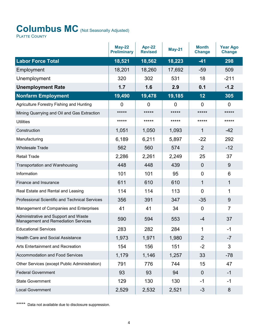## <span id="page-3-0"></span>Columbus MC (Not Seasonally Adjusted)

PLATTE COUNTY

|                                                                                    | <b>May-22</b><br><b>Preliminary</b> | Apr-22<br><b>Revised</b> | <b>May-21</b>  | <b>Month</b><br><b>Change</b> | <b>Year Ago</b><br><b>Change</b> |
|------------------------------------------------------------------------------------|-------------------------------------|--------------------------|----------------|-------------------------------|----------------------------------|
| <b>Labor Force Total</b>                                                           | 18,521                              | 18,562                   | 18,223         | $-41$                         | 298                              |
| Employment                                                                         | 18,201                              | 18,260                   | 17,692         | $-59$                         | 509                              |
| Unemployment                                                                       | 320                                 | 302                      | 531            | 18                            | $-211$                           |
| <b>Unemployment Rate</b>                                                           | 1.7                                 | 1.6                      | 2.9            | 0.1                           | $-1.2$                           |
| <b>Nonfarm Employment</b>                                                          | 19,490                              | 19,478                   | 19,185         | 12                            | 305                              |
| Agriculture Forestry Fishing and Hunting                                           | $\overline{0}$                      | 0                        | $\overline{0}$ | $\overline{0}$                | 0                                |
| Mining Quarrying and Oil and Gas Extraction                                        | $****$                              | *****                    | *****          | *****                         | *****                            |
| <b>Utilities</b>                                                                   | *****                               | *****                    | *****          | *****                         | *****                            |
| Construction                                                                       | 1,051                               | 1,050                    | 1,093          | 1                             | $-42$                            |
| Manufacturing                                                                      | 6,189                               | 6,211                    | 5,897          | $-22$                         | 292                              |
| <b>Wholesale Trade</b>                                                             | 562                                 | 560                      | 574            | $\overline{2}$                | $-12$                            |
| <b>Retail Trade</b>                                                                | 2,286                               | 2,261                    | 2,249          | 25                            | 37                               |
| Transportation and Warehousing                                                     | 448                                 | 448                      | 439            | $\overline{0}$                | 9                                |
| Information                                                                        | 101                                 | 101                      | 95             | $\overline{0}$                | 6                                |
| Finance and Insurance                                                              | 611                                 | 610                      | 610            | $\mathbf{1}$                  | 1                                |
| Real Estate and Rental and Leasing                                                 | 114                                 | 114                      | 113            | $\overline{0}$                | 1                                |
| <b>Professional Scientific and Technical Services</b>                              | 356                                 | 391                      | 347            | $-35$                         | 9                                |
| Management of Companies and Enterprises                                            | 41                                  | 41                       | 34             | $\mathbf 0$                   | $\overline{7}$                   |
| Administrative and Support and Waste<br><b>Management and Remediation Services</b> | 590                                 | 594                      | 553            | $-4$                          | 37                               |
| <b>Educational Services</b>                                                        | 283                                 | 282                      | 284            | 1                             | $-1$                             |
| <b>Health Care and Social Assistance</b>                                           | 1,973                               | 1,971                    | 1,980          | $\overline{2}$                | $-7$                             |
| Arts Entertainment and Recreation                                                  | 154                                 | 156                      | 151            | $-2$                          | 3                                |
| Accommodation and Food Services                                                    | 1,179                               | 1,146                    | 1,257          | 33                            | $-78$                            |
| Other Services (except Public Administration)                                      | 791                                 | 776                      | 744            | 15                            | 47                               |
| <b>Federal Government</b>                                                          | 93                                  | 93                       | 94             | $\overline{0}$                | $-1$                             |
| <b>State Government</b>                                                            | 129                                 | 130                      | 130            | $-1$                          | $-1$                             |
| <b>Local Government</b>                                                            | 2,529                               | 2,532                    | 2,521          | $-3$                          | 8                                |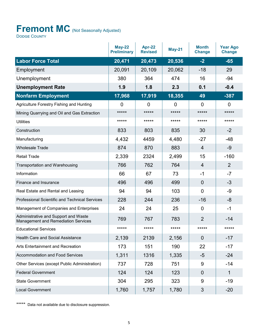## <span id="page-4-0"></span>Fremont MC (Not Seasonally Adjusted)

Dodge County

|                                                                                    | <b>May-22</b><br><b>Preliminary</b> | Apr-22<br><b>Revised</b> | <b>May-21</b>  | <b>Month</b><br><b>Change</b> | <b>Year Ago</b><br><b>Change</b> |
|------------------------------------------------------------------------------------|-------------------------------------|--------------------------|----------------|-------------------------------|----------------------------------|
| <b>Labor Force Total</b>                                                           | 20,471                              | 20,473                   | 20,536         | $-2$                          | $-65$                            |
| Employment                                                                         | 20,091                              | 20,109                   | 20,062         | $-18$                         | 29                               |
| Unemployment                                                                       | 380                                 | 364                      | 474            | 16                            | $-94$                            |
| <b>Unemployment Rate</b>                                                           | 1.9                                 | 1.8                      | 2.3            | 0.1                           | $-0.4$                           |
| <b>Nonfarm Employment</b>                                                          | 17,968                              | 17,919                   | 18,355         | 49                            | $-387$                           |
| Agriculture Forestry Fishing and Hunting                                           | $\overline{0}$                      | $\overline{0}$           | $\overline{0}$ | $\overline{0}$                | 0                                |
| Mining Quarrying and Oil and Gas Extraction                                        | *****                               | *****                    | *****          | *****                         | *****                            |
| <b>Utilities</b>                                                                   | *****                               | *****                    | *****          | *****                         | *****                            |
| Construction                                                                       | 833                                 | 803                      | 835            | 30                            | $-2$                             |
| Manufacturing                                                                      | 4,432                               | 4459                     | 4,480          | $-27$                         | $-48$                            |
| <b>Wholesale Trade</b>                                                             | 874                                 | 870                      | 883            | $\overline{4}$                | $-9$                             |
| <b>Retail Trade</b>                                                                | 2,339                               | 2324                     | 2,499          | 15                            | $-160$                           |
| <b>Transportation and Warehousing</b>                                              | 766                                 | 762                      | 764            | $\overline{4}$                | $\overline{2}$                   |
| Information                                                                        | 66                                  | 67                       | 73             | $-1$                          | $-7$                             |
| Finance and Insurance                                                              | 496                                 | 496                      | 499            | $\Omega$                      | $-3$                             |
| Real Estate and Rental and Leasing                                                 | 94                                  | 94                       | 103            | $\overline{0}$                | $-9$                             |
| <b>Professional Scientific and Technical Services</b>                              | 228                                 | 244                      | 236            | $-16$                         | -8                               |
| Management of Companies and Enterprises                                            | 24                                  | 24                       | 25             | $\mathbf 0$                   | $-1$                             |
| Administrative and Support and Waste<br><b>Management and Remediation Services</b> | 769                                 | 767                      | 783            | $\overline{2}$                | $-14$                            |
| <b>Educational Services</b>                                                        | *****                               | *****                    | *****          | *****                         | *****                            |
| <b>Health Care and Social Assistance</b>                                           | 2,139                               | 2139                     | 2,156          | $\overline{0}$                | $-17$                            |
| Arts Entertainment and Recreation                                                  | 173                                 | 151                      | 190            | 22                            | $-17$                            |
| <b>Accommodation and Food Services</b>                                             | 1,311                               | 1316                     | 1,335          | $-5$                          | $-24$                            |
| Other Services (except Public Administration)                                      | 737                                 | 728                      | 751            | 9                             | $-14$                            |
| <b>Federal Government</b>                                                          | 124                                 | 124                      | 123            | $\overline{0}$                | 1                                |
| <b>State Government</b>                                                            | 304                                 | 295                      | 323            | 9                             | $-19$                            |
| <b>Local Government</b>                                                            | 1,760                               | 1,757                    | 1,780          | $\mathfrak{S}$                | $-20$                            |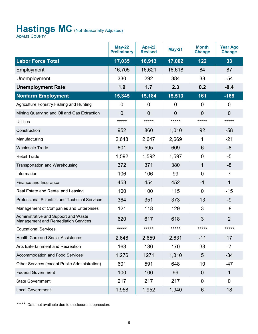## <span id="page-5-0"></span>Hastings MC (Not Seasonally Adjusted)

Adams County

|                                                                                    | <b>May-22</b><br><b>Preliminary</b> | Apr-22<br><b>Revised</b> | <b>May-21</b>  | <b>Month</b><br><b>Change</b> | <b>Year Ago</b><br><b>Change</b> |
|------------------------------------------------------------------------------------|-------------------------------------|--------------------------|----------------|-------------------------------|----------------------------------|
| <b>Labor Force Total</b>                                                           | 17,035                              | 16,913                   | 17,002         | 122                           | 33                               |
| Employment                                                                         | 16,705                              | 16,621                   | 16,618         | 84                            | 87                               |
| Unemployment                                                                       | 330                                 | 292                      | 384            | 38                            | $-54$                            |
| <b>Unemployment Rate</b>                                                           | 1.9                                 | 1.7                      | 2.3            | 0.2                           | $-0.4$                           |
| <b>Nonfarm Employment</b>                                                          | 15,345                              | 15,184                   | 15,513         | 161                           | $-168$                           |
| Agriculture Forestry Fishing and Hunting                                           | $\overline{0}$                      | $\overline{0}$           | $\overline{0}$ | $\mathbf 0$                   | 0                                |
| Mining Quarrying and Oil and Gas Extraction                                        | $\overline{0}$                      | $\overline{0}$           | $\overline{0}$ | $\overline{0}$                | $\overline{0}$                   |
| <b>Utilities</b>                                                                   | *****                               | *****                    | *****          | *****                         | *****                            |
| Construction                                                                       | 952                                 | 860                      | 1,010          | 92                            | $-58$                            |
| Manufacturing                                                                      | 2,648                               | 2,647                    | 2,669          | 1                             | $-21$                            |
| <b>Wholesale Trade</b>                                                             | 601                                 | 595                      | 609            | 6                             | -8                               |
| <b>Retail Trade</b>                                                                | 1,592                               | 1,592                    | 1,597          | $\overline{0}$                | $-5$                             |
| Transportation and Warehousing                                                     | 372                                 | 371                      | 380            | 1                             | -8                               |
| Information                                                                        | 106                                 | 106                      | 99             | $\overline{0}$                | 7                                |
| Finance and Insurance                                                              | 453                                 | 454                      | 452            | $-1$                          | 1                                |
| Real Estate and Rental and Leasing                                                 | 100                                 | 100                      | 115            | $\overline{0}$                | $-15$                            |
| <b>Professional Scientific and Technical Services</b>                              | 364                                 | 351                      | 373            | 13                            | $-9$                             |
| Management of Companies and Enterprises                                            | 121                                 | 118                      | 129            | 3                             | -8                               |
| Administrative and Support and Waste<br><b>Management and Remediation Services</b> | 620                                 | 617                      | 618            | 3                             | $\overline{2}$                   |
| <b>Educational Services</b>                                                        | *****                               | *****                    | *****          | *****                         | *****                            |
| <b>Health Care and Social Assistance</b>                                           | 2,648                               | 2,659                    | 2,631          | $-11$                         | 17                               |
| Arts Entertainment and Recreation                                                  | 163                                 | 130                      | 170            | 33                            | $-7$                             |
| <b>Accommodation and Food Services</b>                                             | 1,276                               | 1271                     | 1,310          | 5                             | $-34$                            |
| Other Services (except Public Administration)                                      | 601                                 | 591                      | 648            | 10                            | -47                              |
| <b>Federal Government</b>                                                          | 100                                 | 100                      | 99             | $\mathbf 0$                   | 1                                |
| <b>State Government</b>                                                            | 217                                 | 217                      | 217            | 0                             | 0                                |
| <b>Local Government</b>                                                            | 1,958                               | 1,952                    | 1,940          | 6                             | 18                               |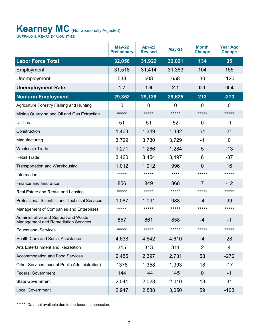#### <span id="page-6-0"></span>**Kearney MC** (Not Seasonally Adjusted) Buffalo & Kearney Counties

|                                                                                    | <b>May-22</b><br><b>Preliminary</b> | <b>Apr-22</b><br><b>Revised</b> | <b>May-21</b>  | <b>Month</b><br><b>Change</b> | <b>Year Ago</b><br><b>Change</b> |
|------------------------------------------------------------------------------------|-------------------------------------|---------------------------------|----------------|-------------------------------|----------------------------------|
| <b>Labor Force Total</b>                                                           | 32,056                              | 31,922                          | 32,021         | 134                           | 35                               |
| Employment                                                                         | 31,518                              | 31,414                          | 31,363         | 104                           | 155                              |
| Unemployment                                                                       | 538                                 | 508                             | 658            | 30                            | $-120$                           |
| <b>Unemployment Rate</b>                                                           | 1.7                                 | 1.6                             | 2.1            | 0.1                           | $-0.4$                           |
| <b>Nonfarm Employment</b>                                                          | 29,352                              | 29,139                          | 29,625         | 213                           | $-273$                           |
| Agriculture Forestry Fishing and Hunting                                           | 0                                   | 0                               | $\overline{0}$ | 0                             | $\overline{0}$                   |
| Mining Quarrying and Oil and Gas Extraction                                        | *****                               | *****                           | *****          | *****                         | *****                            |
| <b>Utilities</b>                                                                   | 51                                  | 51                              | 52             | $\overline{0}$                | -1                               |
| Construction                                                                       | 1,403                               | 1,349                           | 1,382          | 54                            | 21                               |
| Manufacturing                                                                      | 3,729                               | 3,730                           | 3,729          | $-1$                          | $\overline{0}$                   |
| <b>Wholesale Trade</b>                                                             | 1,271                               | 1,266                           | 1,284          | 5                             | $-13$                            |
| <b>Retail Trade</b>                                                                | 3,460                               | 3,454                           | 3,497          | 6                             | $-37$                            |
| <b>Transportation and Warehousing</b>                                              | 1,012                               | 1,012                           | 996            | $\Omega$                      | 16                               |
| Information                                                                        | *****                               | *****                           | ****           | *****                         | *****                            |
| Finance and Insurance                                                              | 856                                 | 849                             | 868            | $\overline{7}$                | $-12$                            |
| Real Estate and Rental and Leasing                                                 | *****                               | *****                           | *****          | *****                         | *****                            |
| Professional Scientific and Technical Services                                     | 1,087                               | 1,091                           | 988            | -4                            | 99                               |
| Management of Companies and Enterprises                                            | *****                               | *****                           | *****          | *****                         | *****                            |
| Administrative and Support and Waste<br><b>Management and Remediation Services</b> | 857                                 | 861                             | 858            | -4                            | $-1$                             |
| <b>Educational Services</b>                                                        | *****                               | *****                           | *****          | *****                         | *****                            |
| <b>Health Care and Social Assistance</b>                                           | 4,638                               | 4,642                           | 4,610          | $-4$                          | 28                               |
| Arts Entertainment and Recreation                                                  | 315                                 | 313                             | 311            | $\overline{2}$                | 4                                |
| <b>Accommodation and Food Services</b>                                             | 2,455                               | 2,397                           | 2,731          | 58                            | $-276$                           |
| Other Services (except Public Administration)                                      | 1376                                | 1,358                           | 1,393          | 18                            | $-17$                            |
| <b>Federal Government</b>                                                          | 144                                 | 144                             | 145            | $\overline{0}$                | $-1$                             |
| <b>State Government</b>                                                            | 2,041                               | 2,028                           | 2,010          | 13                            | 31                               |
| <b>Local Government</b>                                                            | 2,947                               | 2,888                           | 3,050          | 59                            | $-103$                           |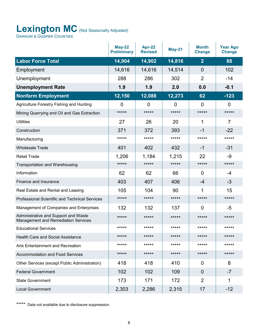#### <span id="page-7-0"></span>Lexington MC (Not Seasonally Adjusted) Dawson & Gosper Counties

|                                                                                    | $May-22$<br><b>Preliminary</b> | Apr-22<br><b>Revised</b> | <b>May-21</b>  | <b>Month</b><br><b>Change</b> | <b>Year Ago</b><br><b>Change</b> |
|------------------------------------------------------------------------------------|--------------------------------|--------------------------|----------------|-------------------------------|----------------------------------|
| <b>Labor Force Total</b>                                                           | 14,904                         | 14,902                   | 14,816         | $\overline{2}$                | 88                               |
| Employment                                                                         | 14,616                         | 14,616                   | 14,514         | $\overline{0}$                | 102                              |
| Unemployment                                                                       | 288                            | 286                      | 302            | $\overline{2}$                | $-14$                            |
| <b>Unemployment Rate</b>                                                           | 1.9                            | 1.9                      | 2.0            | 0.0                           | $-0.1$                           |
| <b>Nonfarm Employment</b>                                                          | 12,150                         | 12,088                   | 12,273         | 62                            | $-123$                           |
| Agriculture Forestry Fishing and Hunting                                           | 0                              | $\overline{0}$           | $\overline{0}$ | 0                             | 0                                |
| Mining Quarrying and Oil and Gas Extraction                                        | *****                          | *****                    | *****          | *****                         | *****                            |
| <b>Utilities</b>                                                                   | 27                             | 26                       | 20             | 1                             | $\overline{7}$                   |
| Construction                                                                       | 371                            | 372                      | 393            | -1                            | $-22$                            |
| Manufacturing                                                                      | *****                          | *****                    | *****          | *****                         | *****                            |
| <b>Wholesale Trade</b>                                                             | 401                            | 402                      | 432            | $-1$                          | $-31$                            |
| <b>Retail Trade</b>                                                                | 1,206                          | 1,184                    | 1,215          | 22                            | $-9$                             |
| <b>Transportation and Warehousing</b>                                              | $***$ **                       | $***$ **                 | *****          | *****                         | *****                            |
| Information                                                                        | 62                             | 62                       | 66             | 0                             | -4                               |
| Finance and Insurance                                                              | 403                            | 407                      | 406            | -4                            | $-3$                             |
| Real Estate and Rental and Leasing                                                 | 105                            | 104                      | 90             | 1                             | 15                               |
| <b>Professional Scientific and Technical Services</b>                              | *****                          | *****                    | *****          | *****                         | *****                            |
| Management of Companies and Enterprises                                            | 132                            | 132                      | 137            | 0                             | -5                               |
| Administrative and Support and Waste<br><b>Management and Remediation Services</b> | *****                          | *****                    | *****          | *****                         | *****                            |
| <b>Educational Services</b>                                                        | *****                          | *****                    | *****          | *****                         | *****                            |
| <b>Health Care and Social Assistance</b>                                           | *****                          | *****                    | *****          | *****                         | *****                            |
| Arts Entertainment and Recreation                                                  | *****                          | *****                    | *****          | *****                         | *****                            |
| <b>Accommodation and Food Services</b>                                             | *****                          | *****                    | *****          | *****                         | *****                            |
| Other Services (except Public Administration)                                      | 418                            | 418                      | 410            | 0                             | 8                                |
| <b>Federal Government</b>                                                          | 102                            | 102                      | 109            | 0                             | $-7$                             |
| <b>State Government</b>                                                            | 173                            | 171                      | 172            | $\overline{2}$                | 1                                |
| <b>Local Government</b>                                                            | 2,303                          | 2,286                    | 2,315          | 17                            | $-12$                            |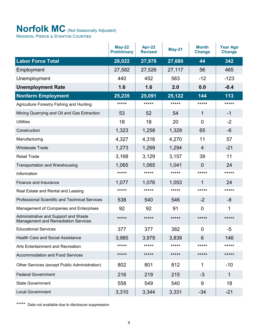### <span id="page-8-0"></span>**Norfolk MC** (Not Seasonally Adjusted)

Madison, Pierce & Stanton Counties

|                                                                                    | <b>May-22</b><br><b>Preliminary</b> | Apr-22<br><b>Revised</b> | <b>May-21</b> | <b>Month</b><br><b>Change</b> | <b>Year Ago</b><br><b>Change</b> |
|------------------------------------------------------------------------------------|-------------------------------------|--------------------------|---------------|-------------------------------|----------------------------------|
| <b>Labor Force Total</b>                                                           | 28,022                              | 27,978                   | 27,680        | 44                            | 342                              |
| Employment                                                                         | 27,582                              | 27,526                   | 27,117        | 56                            | 465                              |
| Unemployment                                                                       | 440                                 | 452                      | 563           | $-12$                         | $-123$                           |
| <b>Unemployment Rate</b>                                                           | 1.6                                 | 1.6                      | 2.0           | 0.0                           | $-0.4$                           |
| <b>Nonfarm Employment</b>                                                          | 25,235                              | $\overline{25,091}$      | 25,122        | 144                           | 113                              |
| Agriculture Forestry Fishing and Hunting                                           | *****                               | $***$ **                 | *****         | *****                         | *****                            |
| Mining Quarrying and Oil and Gas Extraction                                        | 53                                  | 52                       | 54            | 1                             | $-1$                             |
| <b>Utilities</b>                                                                   | 18                                  | 18                       | 20            | $\overline{0}$                | $-2$                             |
| Construction                                                                       | 1,323                               | 1,258                    | 1,329         | 65                            | -6                               |
| Manufacturing                                                                      | 4,327                               | 4,316                    | 4,270         | 11                            | 57                               |
| <b>Wholesale Trade</b>                                                             | 1,273                               | 1,269                    | 1,294         | $\overline{4}$                | $-21$                            |
| <b>Retail Trade</b>                                                                | 3,168                               | 3,129                    | 3,157         | 39                            | 11                               |
| <b>Transportation and Warehousing</b>                                              | 1,065                               | 1,065                    | 1,041         | $\overline{0}$                | 24                               |
| Information                                                                        | *****                               | *****                    | *****         | *****                         | *****                            |
| Finance and Insurance                                                              | 1,077                               | 1,076                    | 1,053         | 1                             | 24                               |
| Real Estate and Rental and Leasing                                                 | *****                               | *****                    | *****         | *****                         | *****                            |
| Professional Scientific and Technical Services                                     | 538                                 | 540                      | 546           | $-2$                          | -8                               |
| Management of Companies and Enterprises                                            | 92                                  | 92                       | 91            | $\overline{0}$                | 1                                |
| Administrative and Support and Waste<br><b>Management and Remediation Services</b> | *****                               | *****                    | *****         | *****                         | *****                            |
| <b>Educational Services</b>                                                        | 377                                 | 377                      | 382           | $\overline{0}$                | $-5$                             |
| <b>Health Care and Social Assistance</b>                                           | 3,985                               | 3,979                    | 3,839         | 6                             | 146                              |
| Arts Entertainment and Recreation                                                  | *****                               | *****                    | *****         | *****                         | *****                            |
| <b>Accommodation and Food Services</b>                                             | *****                               | *****                    | *****         | *****                         | *****                            |
| Other Services (except Public Administration)                                      | 802                                 | 801                      | 812           | 1                             | $-10$                            |
| <b>Federal Government</b>                                                          | 216                                 | 219                      | 215           | $-3$                          | 1                                |
| <b>State Government</b>                                                            | 558                                 | 549                      | 540           | 9                             | 18                               |
| <b>Local Government</b>                                                            | 3,310                               | 3,344                    | 3,331         | $-34$                         | $-21$                            |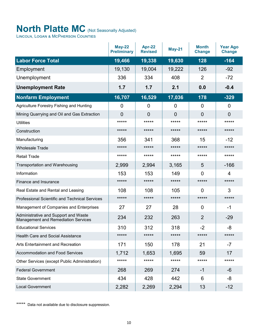## <span id="page-9-0"></span>**North Platte MC** (Not Seasonally Adjusted)

Lincoln, Logan & McPherson Counties

|                                                                                    | <b>May-22</b><br><b>Preliminary</b> | Apr-22<br><b>Revised</b> | <b>May-21</b>  | <b>Month</b><br><b>Change</b> | <b>Year Ago</b><br><b>Change</b> |
|------------------------------------------------------------------------------------|-------------------------------------|--------------------------|----------------|-------------------------------|----------------------------------|
| <b>Labor Force Total</b>                                                           | 19,466                              | 19,338                   | 19,630         | 128                           | $-164$                           |
| Employment                                                                         | 19,130                              | 19,004                   | 19,222         | 126                           | $-92$                            |
| Unemployment                                                                       | 336                                 | 334                      | 408            | $\overline{2}$                | $-72$                            |
| <b>Unemployment Rate</b>                                                           | 1.7                                 | 1.7                      | 2.1            | 0.0                           | $-0.4$                           |
| <b>Nonfarm Employment</b>                                                          | 16,707                              | 16,529                   | 17,036         | 178                           | $-329$                           |
| Agriculture Forestry Fishing and Hunting                                           | 0                                   | $\overline{0}$           | 0              | $\overline{0}$                | 0                                |
| Mining Quarrying and Oil and Gas Extraction                                        | $\overline{0}$                      | $\overline{0}$           | $\overline{0}$ | $\overline{0}$                | $\overline{0}$                   |
| <b>Utilities</b>                                                                   | *****                               | *****                    | *****          | *****                         | *****                            |
| Construction                                                                       | *****                               | *****                    | *****          | *****                         | *****                            |
| Manufacturing                                                                      | 356                                 | 341                      | 368            | 15                            | $-12$                            |
| <b>Wholesale Trade</b>                                                             | *****                               | *****                    | *****          | *****                         | *****                            |
| <b>Retail Trade</b>                                                                | *****                               | *****                    | *****          | *****                         | *****                            |
| <b>Transportation and Warehousing</b>                                              | 2,999                               | 2,994                    | 3,165          | 5                             | $-166$                           |
| Information                                                                        | 153                                 | 153                      | 149            | $\overline{0}$                | 4                                |
| Finance and Insurance                                                              | *****                               | *****                    | *****          | *****                         | *****                            |
| Real Estate and Rental and Leasing                                                 | 108                                 | 108                      | 105            | $\overline{0}$                | 3                                |
| <b>Professional Scientific and Technical Services</b>                              | *****                               | *****                    | *****          | *****                         | *****                            |
| Management of Companies and Enterprises                                            | 27                                  | 27                       | 28             | $\overline{0}$                | $-1$                             |
| Administrative and Support and Waste<br><b>Management and Remediation Services</b> | 234                                 | 232                      | 263            | 2                             | $-29$                            |
| <b>Educational Services</b>                                                        | 310                                 | 312                      | 318            | $-2$                          | -8                               |
| <b>Health Care and Social Assistance</b>                                           | *****                               | *****                    | *****          | *****                         | *****                            |
| Arts Entertainment and Recreation                                                  | 171                                 | 150                      | 178            | 21                            | $-7$                             |
| <b>Accommodation and Food Services</b>                                             | 1,712                               | 1,653                    | 1,695          | 59                            | 17                               |
| Other Services (except Public Administration)                                      | *****                               | *****                    | *****          | *****                         | *****                            |
| <b>Federal Government</b>                                                          | 268                                 | 269                      | 274            | $-1$                          | -6                               |
| <b>State Government</b>                                                            | 434                                 | 428                      | 442            | 6                             | -8                               |
| <b>Local Government</b>                                                            | 2,282                               | 2,269                    | 2,294          | 13                            | $-12$                            |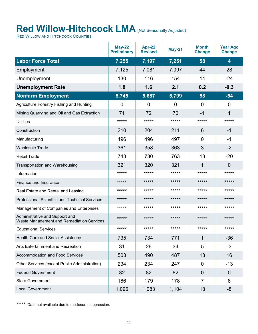## <span id="page-10-0"></span>**Red Willow-Hitchcock LMA** (Not Seasonally Adjusted)

RED WILLOW AND HITCHCOCK COUNTIES

|                                                                             | <b>May-22</b><br><b>Preliminary</b> | Apr-22<br><b>Revised</b> | <b>May-21</b> | <b>Month</b><br><b>Change</b> | <b>Year Ago</b><br><b>Change</b> |
|-----------------------------------------------------------------------------|-------------------------------------|--------------------------|---------------|-------------------------------|----------------------------------|
| <b>Labor Force Total</b>                                                    | 7,255                               | 7,197                    | 7,251         | 58                            | $\overline{\mathbf{4}}$          |
| Employment                                                                  | 7,125                               | 7,081                    | 7,097         | 44                            | 28                               |
| Unemployment                                                                | 130                                 | 116                      | 154           | 14                            | $-24$                            |
| <b>Unemployment Rate</b>                                                    | 1.8                                 | 1.6                      | 2.1           | 0.2                           | $-0.3$                           |
| <b>Nonfarm Employment</b>                                                   | 5,745                               | 5,687                    | 5,799         | 58                            | $-54$                            |
| Agriculture Forestry Fishing and Hunting                                    | 0                                   | $\overline{0}$           | $\mathbf 0$   | $\overline{0}$                | $\overline{0}$                   |
| Mining Quarrying and Oil and Gas Extraction                                 | 71                                  | 72                       | 70            | $-1$                          | 1                                |
| <b>Utilities</b>                                                            | *****                               | *****                    | *****         | *****                         | *****                            |
| Construction                                                                | 210                                 | 204                      | 211           | 6                             | $-1$                             |
| Manufacturing                                                               | 496                                 | 496                      | 497           | $\mathbf 0$                   | -1                               |
| <b>Wholesale Trade</b>                                                      | 361                                 | 358                      | 363           | 3                             | $-2$                             |
| <b>Retail Trade</b>                                                         | 743                                 | 730                      | 763           | 13                            | $-20$                            |
| <b>Transportation and Warehousing</b>                                       | 321                                 | 320                      | 321           | 1                             | 0                                |
| Information                                                                 | *****                               | *****                    | *****         | *****                         | *****                            |
| Finance and Insurance                                                       | *****                               | *****                    | *****         | *****                         | *****                            |
| Real Estate and Rental and Leasing                                          | *****                               | *****                    | *****         | *****                         | *****                            |
| <b>Professional Scientific and Technical Services</b>                       | *****                               | *****                    | *****         | *****                         | *****                            |
| Management of Companies and Enterprises                                     | *****                               | *****                    | *****         | *****                         | *****                            |
| Administrative and Support and<br>Waste Management and Remediation Services | *****                               | *****                    | *****         | *****                         | *****                            |
| <b>Educational Services</b>                                                 | *****                               | *****                    | *****         | *****                         | *****                            |
| <b>Health Care and Social Assistance</b>                                    | 735                                 | 734                      | 771           | $\mathbf{1}$                  | $-36$                            |
| Arts Entertainment and Recreation                                           | 31                                  | 26                       | 34            | 5                             | $-3$                             |
| <b>Accommodation and Food Services</b>                                      | 503                                 | 490                      | 487           | 13                            | 16                               |
| Other Services (except Public Administration)                               | 234                                 | 234                      | 247           | $\mathbf 0$                   | $-13$                            |
| <b>Federal Government</b>                                                   | 82                                  | 82                       | 82            | $\overline{0}$                | $\overline{0}$                   |
| <b>State Government</b>                                                     | 186                                 | 179                      | 178           | $\overline{7}$                | 8                                |
| <b>Local Government</b>                                                     | 1,096                               | 1,083                    | 1,104         | 13                            | -8                               |